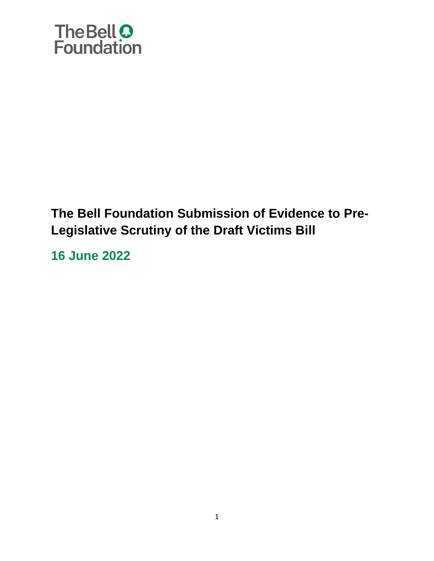

### **The Bell Foundation Submission of Evidence to Pre-Legislative Scrutiny of the Draft Victims Bill**

**16 June 2022**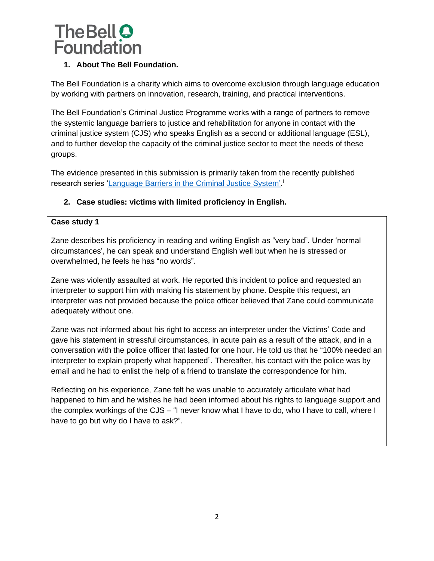

#### **1. About The Bell Foundation.**

The Bell Foundation is a charity which aims to overcome exclusion through language education by working with partners on innovation, research, training, and practical interventions.

The Bell Foundation's Criminal Justice Programme works with a range of partners to remove the systemic language barriers to justice and rehabilitation for anyone in contact with the criminal justice system (CJS) who speaks English as a second or additional language (ESL), and to further develop the capacity of the criminal justice sector to meet the needs of these groups.

The evidence presented in this submission is primarily taken from the recently published research series ['Language Barriers in the Criminal Justice System'.](https://www.bell-foundation.org.uk/criminal-justice-programme/research/language-barriers-in-the-criminal-justice-system/)<sup>1</sup>

#### **2. Case studies: victims with limited proficiency in English.**

#### **Case study 1**

Zane describes his proficiency in reading and writing English as "very bad". Under 'normal circumstances', he can speak and understand English well but when he is stressed or overwhelmed, he feels he has "no words".

Zane was violently assaulted at work. He reported this incident to police and requested an interpreter to support him with making his statement by phone. Despite this request, an interpreter was not provided because the police officer believed that Zane could communicate adequately without one.

Zane was not informed about his right to access an interpreter under the Victims' Code and gave his statement in stressful circumstances, in acute pain as a result of the attack, and in a conversation with the police officer that lasted for one hour. He told us that he "100% needed an interpreter to explain properly what happened". Thereafter, his contact with the police was by email and he had to enlist the help of a friend to translate the correspondence for him.

Reflecting on his experience, Zane felt he was unable to accurately articulate what had happened to him and he wishes he had been informed about his rights to language support and the complex workings of the CJS – "I never know what I have to do, who I have to call, where I have to go but why do I have to ask?".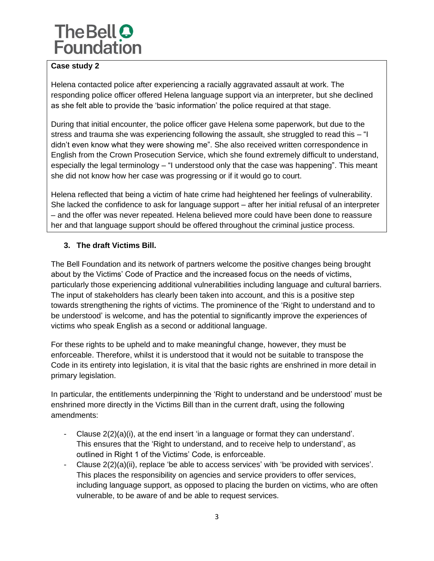#### **Case study 2**

Helena contacted police after experiencing a racially aggravated assault at work. The responding police officer offered Helena language support via an interpreter, but she declined as she felt able to provide the 'basic information' the police required at that stage.

During that initial encounter, the police officer gave Helena some paperwork, but due to the stress and trauma she was experiencing following the assault, she struggled to read this – "I didn't even know what they were showing me". She also received written correspondence in English from the Crown Prosecution Service, which she found extremely difficult to understand, especially the legal terminology – "I understood only that the case was happening". This meant she did not know how her case was progressing or if it would go to court.

Helena reflected that being a victim of hate crime had heightened her feelings of vulnerability. She lacked the confidence to ask for language support – after her initial refusal of an interpreter – and the offer was never repeated. Helena believed more could have been done to reassure her and that language support should be offered throughout the criminal justice process.

#### **3. The draft Victims Bill.**

The Bell Foundation and its network of partners welcome the positive changes being brought about by the Victims' Code of Practice and the increased focus on the needs of victims, particularly those experiencing additional vulnerabilities including language and cultural barriers. The input of stakeholders has clearly been taken into account, and this is a positive step towards strengthening the rights of victims. The prominence of the 'Right to understand and to be understood' is welcome, and has the potential to significantly improve the experiences of victims who speak English as a second or additional language.

For these rights to be upheld and to make meaningful change, however, they must be enforceable. Therefore, whilst it is understood that it would not be suitable to transpose the Code in its entirety into legislation, it is vital that the basic rights are enshrined in more detail in primary legislation.

In particular, the entitlements underpinning the 'Right to understand and be understood' must be enshrined more directly in the Victims Bill than in the current draft, using the following amendments:

- Clause 2(2)(a)(i), at the end insert 'in a language or format they can understand'. This ensures that the 'Right to understand, and to receive help to understand', as outlined in Right 1 of the Victims' Code, is enforceable.
- Clause 2(2)(a)(ii), replace 'be able to access services' with 'be provided with services'. This places the responsibility on agencies and service providers to offer services, including language support, as opposed to placing the burden on victims, who are often vulnerable, to be aware of and be able to request services.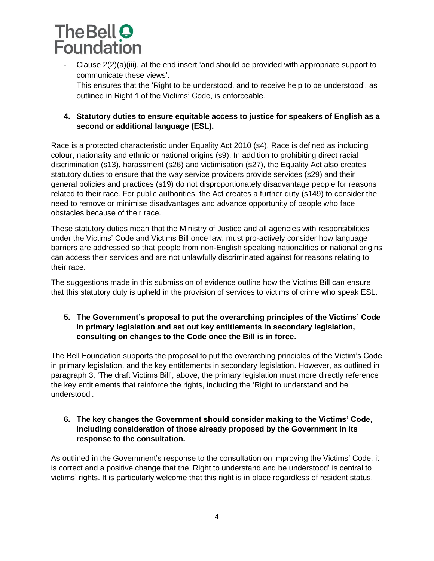- Clause 2(2)(a)(iii), at the end insert 'and should be provided with appropriate support to communicate these views'.

This ensures that the 'Right to be understood, and to receive help to be understood', as outlined in Right 1 of the Victims' Code, is enforceable.

#### **4. Statutory duties to ensure equitable access to justice for speakers of English as a second or additional language (ESL).**

Race is a protected characteristic under Equality Act 2010 (s4). Race is defined as including colour, nationality and ethnic or national origins (s9). In addition to prohibiting direct racial discrimination (s13), harassment (s26) and victimisation (s27), the Equality Act also creates statutory duties to ensure that the way service providers provide services (s29) and their general policies and practices (s19) do not disproportionately disadvantage people for reasons related to their race. For public authorities, the Act creates a further duty (s149) to consider the need to remove or minimise disadvantages and advance opportunity of people who face obstacles because of their race.

These statutory duties mean that the Ministry of Justice and all agencies with responsibilities under the Victims' Code and Victims Bill once law, must pro-actively consider how language barriers are addressed so that people from non-English speaking nationalities or national origins can access their services and are not unlawfully discriminated against for reasons relating to their race.

The suggestions made in this submission of evidence outline how the Victims Bill can ensure that this statutory duty is upheld in the provision of services to victims of crime who speak ESL.

#### **5. The Government's proposal to put the overarching principles of the Victims' Code in primary legislation and set out key entitlements in secondary legislation, consulting on changes to the Code once the Bill is in force.**

The Bell Foundation supports the proposal to put the overarching principles of the Victim's Code in primary legislation, and the key entitlements in secondary legislation. However, as outlined in paragraph 3, 'The draft Victims Bill', above, the primary legislation must more directly reference the key entitlements that reinforce the rights, including the 'Right to understand and be understood'.

#### **6. The key changes the Government should consider making to the Victims' Code, including consideration of those already proposed by the Government in its response to the consultation.**

As outlined in the Government's response to the consultation on improving the Victims' Code, it is correct and a positive change that the 'Right to understand and be understood' is central to victims' rights. It is particularly welcome that this right is in place regardless of resident status.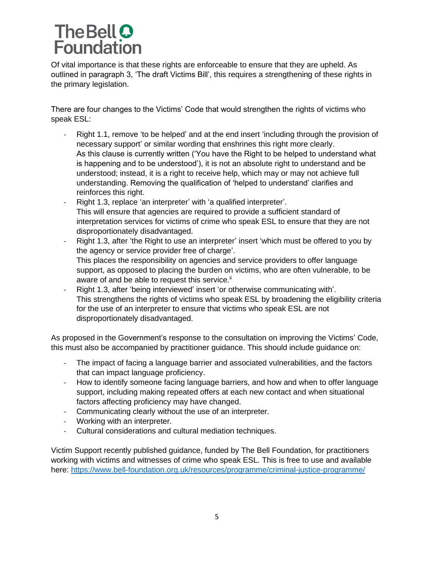Of vital importance is that these rights are enforceable to ensure that they are upheld. As outlined in paragraph 3, 'The draft Victims Bill', this requires a strengthening of these rights in the primary legislation.

There are four changes to the Victims' Code that would strengthen the rights of victims who speak ESL:

- Right 1.1, remove 'to be helped' and at the end insert 'including through the provision of necessary support' or similar wording that enshrines this right more clearly. As this clause is currently written ('You have the Right to be helped to understand what is happening and to be understood'), it is not an absolute right to understand and be understood; instead, it is a right to receive help, which may or may not achieve full understanding. Removing the qualification of 'helped to understand' clarifies and reinforces this right.
- Right 1.3, replace 'an interpreter' with 'a qualified interpreter'. This will ensure that agencies are required to provide a sufficient standard of interpretation services for victims of crime who speak ESL to ensure that they are not disproportionately disadvantaged.
- Right 1.3, after 'the Right to use an interpreter' insert 'which must be offered to you by the agency or service provider free of charge'. This places the responsibility on agencies and service providers to offer language support, as opposed to placing the burden on victims, who are often vulnerable, to be aware of and be able to request this service.<sup>ii</sup>
- Right 1.3, after 'being interviewed' insert 'or otherwise communicating with'. This strengthens the rights of victims who speak ESL by broadening the eligibility criteria for the use of an interpreter to ensure that victims who speak ESL are not disproportionately disadvantaged.

As proposed in the Government's response to the consultation on improving the Victims' Code, this must also be accompanied by practitioner guidance. This should include guidance on:

- The impact of facing a language barrier and associated vulnerabilities, and the factors that can impact language proficiency.
- How to identify someone facing language barriers, and how and when to offer language support, including making repeated offers at each new contact and when situational factors affecting proficiency may have changed.
- Communicating clearly without the use of an interpreter.
- Working with an interpreter.
- Cultural considerations and cultural mediation techniques.

Victim Support recently published guidance, funded by The Bell Foundation, for practitioners working with victims and witnesses of crime who speak ESL. This is free to use and available here:<https://www.bell-foundation.org.uk/resources/programme/criminal-justice-programme/>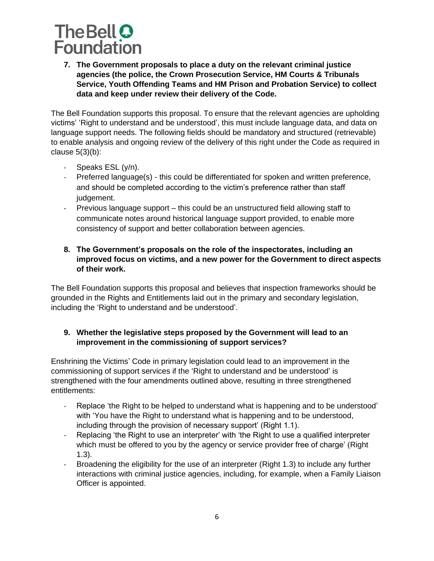**7. The Government proposals to place a duty on the relevant criminal justice agencies (the police, the Crown Prosecution Service, HM Courts & Tribunals Service, Youth Offending Teams and HM Prison and Probation Service) to collect data and keep under review their delivery of the Code.**

The Bell Foundation supports this proposal. To ensure that the relevant agencies are upholding victims' 'Right to understand and be understood', this must include language data, and data on language support needs. The following fields should be mandatory and structured (retrievable) to enable analysis and ongoing review of the delivery of this right under the Code as required in clause  $5(3)(b)$ :

- Speaks ESL (y/n).
- Preferred language(s) this could be differentiated for spoken and written preference, and should be completed according to the victim's preference rather than staff judgement.
- Previous language support this could be an unstructured field allowing staff to communicate notes around historical language support provided, to enable more consistency of support and better collaboration between agencies.

#### **8. The Government's proposals on the role of the inspectorates, including an improved focus on victims, and a new power for the Government to direct aspects of their work.**

The Bell Foundation supports this proposal and believes that inspection frameworks should be grounded in the Rights and Entitlements laid out in the primary and secondary legislation, including the 'Right to understand and be understood'.

#### **9. Whether the legislative steps proposed by the Government will lead to an improvement in the commissioning of support services?**

Enshrining the Victims' Code in primary legislation could lead to an improvement in the commissioning of support services if the 'Right to understand and be understood' is strengthened with the four amendments outlined above, resulting in three strengthened entitlements:

- Replace 'the Right to be helped to understand what is happening and to be understood' with 'You have the Right to understand what is happening and to be understood, including through the provision of necessary support' (Right 1.1).
- Replacing 'the Right to use an interpreter' with 'the Right to use a qualified interpreter which must be offered to you by the agency or service provider free of charge' (Right 1.3).
- Broadening the eligibility for the use of an interpreter (Right 1.3) to include any further interactions with criminal justice agencies, including, for example, when a Family Liaison Officer is appointed.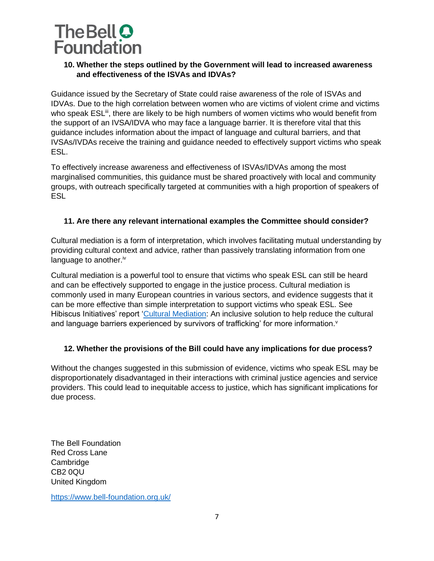#### **10. Whether the steps outlined by the Government will lead to increased awareness and effectiveness of the ISVAs and IDVAs?**

Guidance issued by the Secretary of State could raise awareness of the role of ISVAs and IDVAs. Due to the high correlation between women who are victims of violent crime and victims who speak ESL<sup>iii</sup>, there are likely to be high numbers of women victims who would benefit from the support of an IVSA/IDVA who may face a language barrier. It is therefore vital that this guidance includes information about the impact of language and cultural barriers, and that IVSAs/IVDAs receive the training and guidance needed to effectively support victims who speak ESL.

To effectively increase awareness and effectiveness of ISVAs/IDVAs among the most marginalised communities, this guidance must be shared proactively with local and community groups, with outreach specifically targeted at communities with a high proportion of speakers of **ESL** 

#### **11. Are there any relevant international examples the Committee should consider?**

Cultural mediation is a form of interpretation, which involves facilitating mutual understanding by providing cultural context and advice, rather than passively translating information from one language to another.<sup>iv</sup>

Cultural mediation is a powerful tool to ensure that victims who speak ESL can still be heard and can be effectively supported to engage in the justice process. Cultural mediation is commonly used in many European countries in various sectors, and evidence suggests that it can be more effective than simple interpretation to support victims who speak ESL. See Hibiscus Initiatives' report ['Cultural Mediation:](https://hibiscusinitiatives.org.uk/wp-content/uploads/2021/03/Hibiscus_Cultural-Mediation-Report_A4_Final_digital.pdf) An inclusive solution to help reduce the cultural and language barriers experienced by survivors of trafficking' for more information.<sup>v</sup>

#### **12. Whether the provisions of the Bill could have any implications for due process?**

Without the changes suggested in this submission of evidence, victims who speak ESL may be disproportionately disadvantaged in their interactions with criminal justice agencies and service providers. This could lead to inequitable access to justice, which has significant implications for due process.

The Bell Foundation Red Cross Lane Cambridge CB2 0QU United Kingdom

<https://www.bell-foundation.org.uk/>